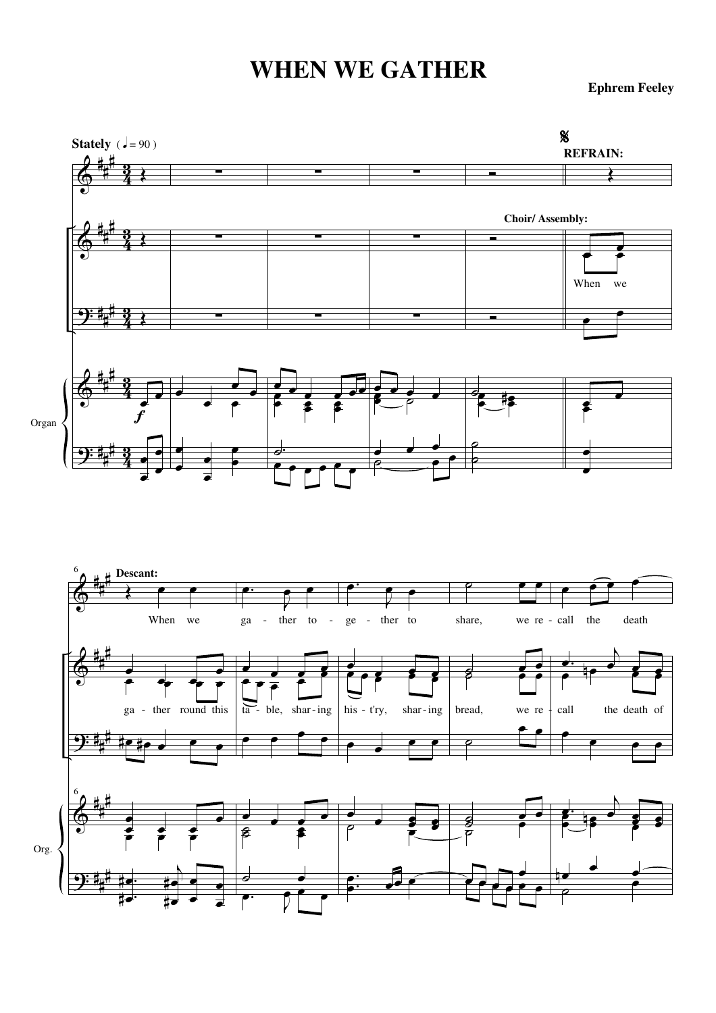## **WHEN WE GATHER**

**Ephrem Feeley**





<u>ີງ:</u>

# # #

. . œ ..<br>‡• #

 $\overline{A}$ œ .<br>!● **#** • œ

œ œ 。<br>。 **。** 

J  $\frac{1}{\sqrt{2}}$ 

œ

. . œ

 $\frac{1}{\sqrt{2}}$ 

 $\ddot{\phantom{a}}$ 

œ œ œ

œn

˙

œ

œ

œ

 $\overline{\phantom{a}}$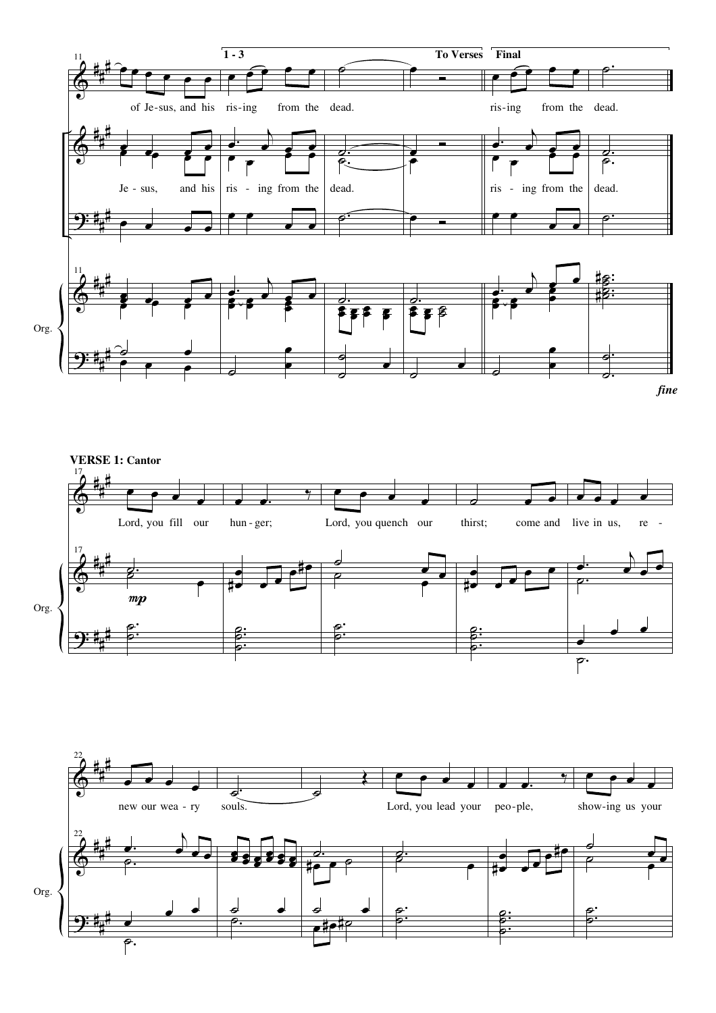





Org.